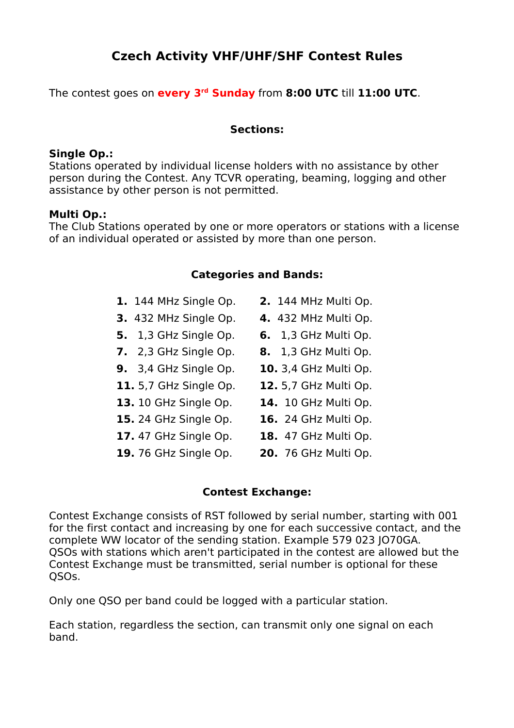# **Czech Activity VHF/UHF/SHF Contest Rules**

The contest goes on **every 3rd Sunday** from **8:00 UTC** till **11:00 UTC**.

### **Sections:**

### **Single Op.:**

Stations operated by individual license holders with no assistance by other person during the Contest. Any TCVR operating, beaming, logging and other assistance by other person is not permitted.

### **Multi Op.:**

The Club Stations operated by one or more operators or stations with a license of an individual operated or assisted by more than one person.

## **Categories and Bands:**

- **1.** 144 MHz Single Op. **2.** 144 MHz Multi Op. **3.** 432 MHz Single Op. **4.** 432 MHz Multi Op. **5.** 1,3 GHz Single Op. **6.** 1,3 GHz Multi Op. **7.** 2,3 GHz Single Op. **8.** 1,3 GHz Multi Op.
- **9.** 3,4 GHz Single Op. **10.** 3,4 GHz Multi Op.
- **11.** 5,7 GHz Single Op. **12.** 5,7 GHz Multi Op.
- **13.** 10 GHz Single Op. **14.** 10 GHz Multi Op.
- **15.** 24 GHz Single Op. **16.** 24 GHz Multi Op.
- **17.** 47 GHz Single Op. **18.** 47 GHz Multi Op.
- 
- 
- 
- 
- 
- 
- **19.** 76 GHz Single Op. **20.** 76 GHz Multi Op.

# **Contest Exchange:**

Contest Exchange consists of RST followed by serial number, starting with 001 for the first contact and increasing by one for each successive contact, and the complete WW locator of the sending station. Example 579 023 JO70GA. QSOs with stations which aren't participated in the contest are allowed but the Contest Exchange must be transmitted, serial number is optional for these QSOs.

Only one QSO per band could be logged with a particular station.

Each station, regardless the section, can transmit only one signal on each band.